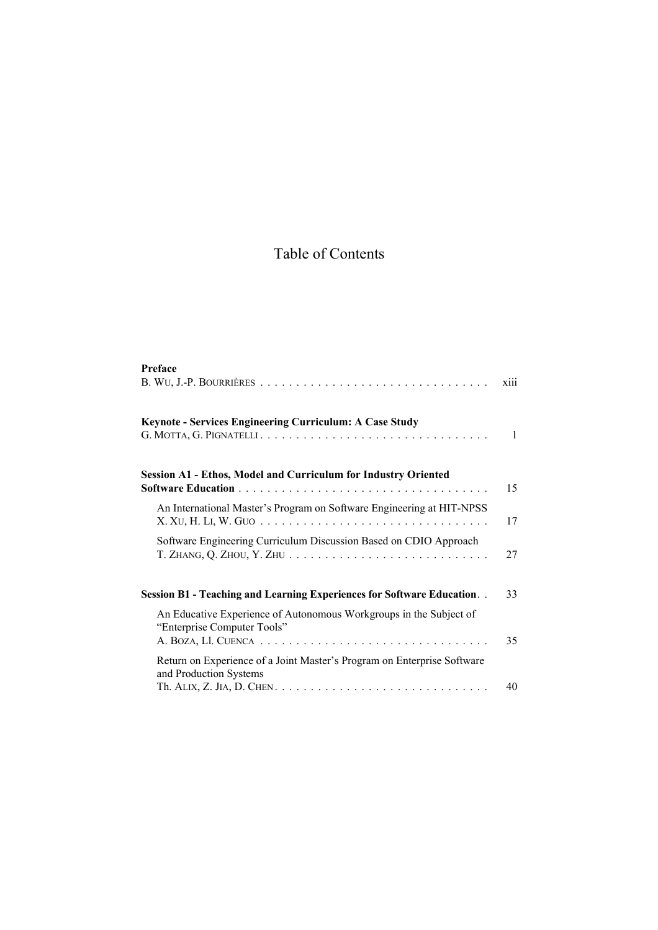## Table of Contents

| Preface                                                                                                                                                                       | xiii |
|-------------------------------------------------------------------------------------------------------------------------------------------------------------------------------|------|
| Keynote - Services Engineering Curriculum: A Case Study<br>G. MOTTA, G. PIGNATELLI                                                                                            | 1    |
| <b>Session A1 - Ethos, Model and Curriculum for Industry Oriented</b>                                                                                                         | 15   |
| An International Master's Program on Software Engineering at HIT-NPSS                                                                                                         | 17   |
| Software Engineering Curriculum Discussion Based on CDIO Approach<br>T. ZHANG, Q. ZHOU, Y. ZHU $\ldots \ldots \ldots \ldots \ldots \ldots \ldots \ldots \ldots \ldots \ldots$ | 27   |
| Session B1 - Teaching and Learning Experiences for Software Education                                                                                                         | 33   |
| An Educative Experience of Autonomous Workgroups in the Subject of<br>"Enterprise Computer Tools"                                                                             | 35   |
| Return on Experience of a Joint Master's Program on Enterprise Software<br>and Production Systems                                                                             | 40   |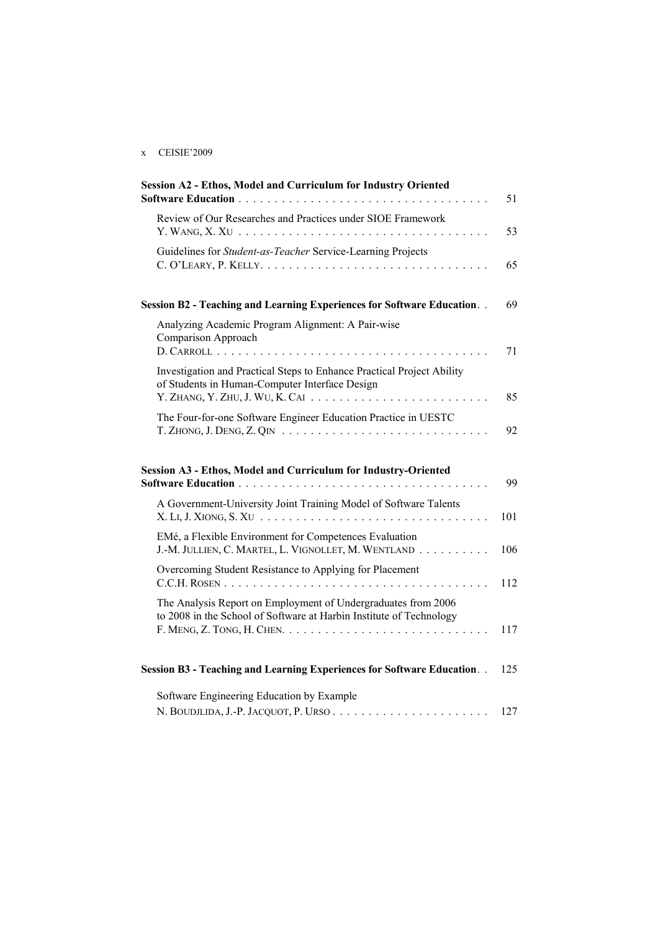## x CEISIE'2009

| Session A2 - Ethos, Model and Curriculum for Industry Oriented                                                                                                             | 51  |
|----------------------------------------------------------------------------------------------------------------------------------------------------------------------------|-----|
| Review of Our Researches and Practices under SIOE Framework                                                                                                                | 53  |
| Guidelines for Student-as-Teacher Service-Learning Projects                                                                                                                | 65  |
| Session B2 - Teaching and Learning Experiences for Software Education                                                                                                      | 69  |
| Analyzing Academic Program Alignment: A Pair-wise<br>Comparison Approach                                                                                                   | 71  |
| Investigation and Practical Steps to Enhance Practical Project Ability<br>of Students in Human-Computer Interface Design                                                   | 85  |
| The Four-for-one Software Engineer Education Practice in UESTC                                                                                                             | 92  |
| Session A3 - Ethos, Model and Curriculum for Industry-Oriented                                                                                                             | 99  |
| A Government-University Joint Training Model of Software Talents<br>$X. LI, J. XIONG, S. XU. \ldots \ldots \ldots \ldots \ldots \ldots \ldots \ldots \ldots \ldots \ldots$ | 101 |
| EMé, a Flexible Environment for Competences Evaluation<br>J.-M. JULLIEN, C. MARTEL, L. VIGNOLLET, M. WENTLAND                                                              | 106 |
| Overcoming Student Resistance to Applying for Placement                                                                                                                    | 112 |
| The Analysis Report on Employment of Undergraduates from 2006<br>to 2008 in the School of Software at Harbin Institute of Technology                                       | 117 |
| Session B3 - Teaching and Learning Experiences for Software Education                                                                                                      | 125 |
| Software Engineering Education by Example                                                                                                                                  |     |

N. BOUDJLIDA, J.-P. JACQUOT, P. URSO . . . . . . . . . . . . . . . . . . . . . . 127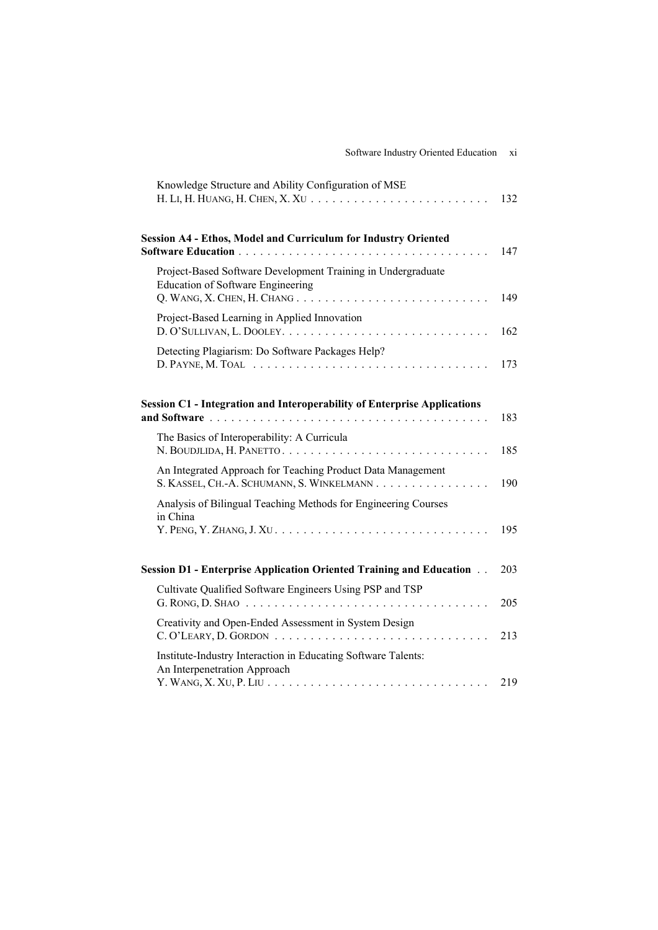| 132                                                                                                          |
|--------------------------------------------------------------------------------------------------------------|
| 147                                                                                                          |
| 149                                                                                                          |
| 162                                                                                                          |
| 173                                                                                                          |
| 183                                                                                                          |
| 185                                                                                                          |
| 190                                                                                                          |
| 195                                                                                                          |
| 203                                                                                                          |
| 205                                                                                                          |
| 213                                                                                                          |
| Y. WANG, X. XU, P. LIU $\ldots \ldots \ldots \ldots \ldots \ldots \ldots \ldots \ldots \ldots \ldots$<br>219 |
|                                                                                                              |